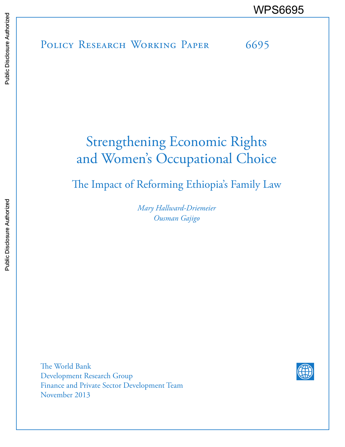POLICY RESEARCH WORKING PAPER 6695 WPS6695

# Strengthening Economic Rights and Women's Occupational Choice

The Impact of Reforming Ethiopia's Family Law

*Mary Hallward-Driemeier Ousman Gajigo*

The World Bank Development Research Group Finance and Private Sector Development Team November 2013

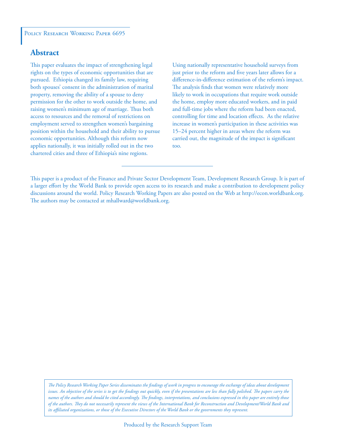# **Abstract**

This paper evaluates the impact of strengthening legal rights on the types of economic opportunities that are pursued. Ethiopia changed its family law, requiring both spouses' consent in the administration of marital property, removing the ability of a spouse to deny permission for the other to work outside the home, and raising women's minimum age of marriage. Thus both access to resources and the removal of restrictions on employment served to strengthen women's bargaining position within the household and their ability to pursue economic opportunities. Although this reform now applies nationally, it was initially rolled out in the two chartered cities and three of Ethiopia's nine regions.

Using nationally representative household surveys from just prior to the reform and five years later allows for a difference-in-difference estimation of the reform's impact. The analysis finds that women were relatively more likely to work in occupations that require work outside the home, employ more educated workers, and in paid and full-time jobs where the reform had been enacted, controlling for time and location effects. As the relative increase in women's participation in these activities was 15–24 percent higher in areas where the reform was carried out, the magnitude of the impact is significant too.

This paper is a product of the Finance and Private Sector Development Team, Development Research Group. It is part of a larger effort by the World Bank to provide open access to its research and make a contribution to development policy discussions around the world. Policy Research Working Papers are also posted on the Web at http://econ.worldbank.org. The authors may be contacted at mhallward@worldbank.org.

*The Policy Research Working Paper Series disseminates the findings of work in progress to encourage the exchange of ideas about development*  issues. An objective of the series is to get the findings out quickly, even if the presentations are less than fully polished. The papers carry the *names of the authors and should be cited accordingly. The findings, interpretations, and conclusions expressed in this paper are entirely those of the authors. They do not necessarily represent the views of the International Bank for Reconstruction and Development/World Bank and its affiliated organizations, or those of the Executive Directors of the World Bank or the governments they represent.*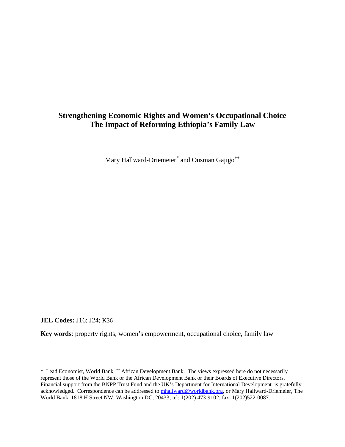# **Strengthening Economic Rights and Women's Occupational Choice The Impact of Reforming Ethiopia's Family Law**

Mary Hallward-Driemeier $^*$  $^*$  and Ousman Gajigo $^{++}$ 

**JEL Codes:** J16; J24; K36

 $\overline{a}$ 

**Key words**: property rights, women's empowerment, occupational choice, family law

<span id="page-2-0"></span><sup>\*</sup> Lead Economist, World Bank, ++ African Development Bank. The views expressed here do not necessarily represent those of the World Bank or the African Development Bank or their Boards of Executive Directors. Financial support from the BNPP Trust Fund and the UK's Department for International Development is gratefully acknowledged. Correspondence can be addressed to **mhallward@worldbank.org**, or Mary Hallward-Driemeier, The World Bank, 1818 H Street NW, Washington DC, 20433; tel: 1(202) 473-9102; fax: 1(202)522-0087.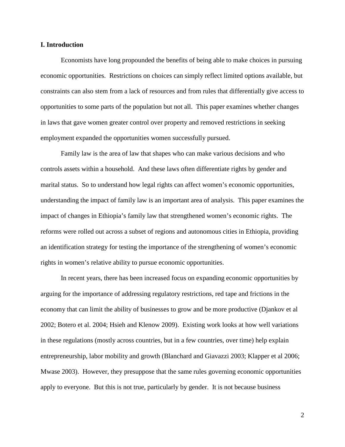## **I. Introduction**

 Economists have long propounded the benefits of being able to make choices in pursuing economic opportunities. Restrictions on choices can simply reflect limited options available, but constraints can also stem from a lack of resources and from rules that differentially give access to opportunities to some parts of the population but not all. This paper examines whether changes in laws that gave women greater control over property and removed restrictions in seeking employment expanded the opportunities women successfully pursued.

Family law is the area of law that shapes who can make various decisions and who controls assets within a household. And these laws often differentiate rights by gender and marital status. So to understand how legal rights can affect women's economic opportunities, understanding the impact of family law is an important area of analysis. This paper examines the impact of changes in Ethiopia's family law that strengthened women's economic rights. The reforms were rolled out across a subset of regions and autonomous cities in Ethiopia, providing an identification strategy for testing the importance of the strengthening of women's economic rights in women's relative ability to pursue economic opportunities.

In recent years, there has been increased focus on expanding economic opportunities by arguing for the importance of addressing regulatory restrictions, red tape and frictions in the economy that can limit the ability of businesses to grow and be more productive (Djankov et al 2002; Botero et al. 2004; Hsieh and Klenow 2009). Existing work looks at how well variations in these regulations (mostly across countries, but in a few countries, over time) help explain entrepreneurship, labor mobility and growth (Blanchard and Giavazzi 2003; Klapper et al 2006; Mwase 2003). However, they presuppose that the same rules governing economic opportunities apply to everyone. But this is not true, particularly by gender. It is not because business

2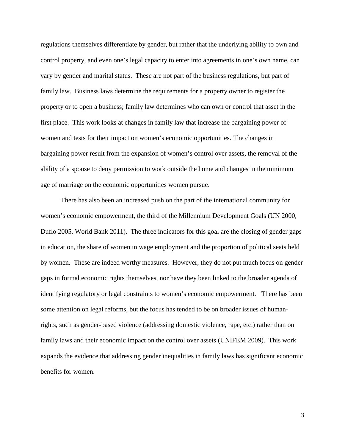regulations themselves differentiate by gender, but rather that the underlying ability to own and control property, and even one's legal capacity to enter into agreements in one's own name, can vary by gender and marital status. These are not part of the business regulations, but part of family law. Business laws determine the requirements for a property owner to register the property or to open a business; family law determines who can own or control that asset in the first place. This work looks at changes in family law that increase the bargaining power of women and tests for their impact on women's economic opportunities. The changes in bargaining power result from the expansion of women's control over assets, the removal of the ability of a spouse to deny permission to work outside the home and changes in the minimum age of marriage on the economic opportunities women pursue.

There has also been an increased push on the part of the international community for women's economic empowerment, the third of the Millennium Development Goals (UN 2000, Duflo 2005, World Bank 2011). The three indicators for this goal are the closing of gender gaps in education, the share of women in wage employment and the proportion of political seats held by women. These are indeed worthy measures. However, they do not put much focus on gender gaps in formal economic rights themselves, nor have they been linked to the broader agenda of identifying regulatory or legal constraints to women's economic empowerment. There has been some attention on legal reforms, but the focus has tended to be on broader issues of humanrights, such as gender-based violence (addressing domestic violence, rape, etc.) rather than on family laws and their economic impact on the control over assets (UNIFEM 2009). This work expands the evidence that addressing gender inequalities in family laws has significant economic benefits for women.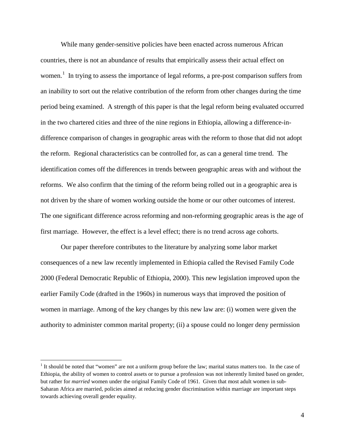While many gender-sensitive policies have been enacted across numerous African countries, there is not an abundance of results that empirically assess their actual effect on women.<sup>[1](#page-5-0)</sup> In trying to assess the importance of legal reforms, a pre-post comparison suffers from an inability to sort out the relative contribution of the reform from other changes during the time period being examined. A strength of this paper is that the legal reform being evaluated occurred in the two chartered cities and three of the nine regions in Ethiopia, allowing a difference-indifference comparison of changes in geographic areas with the reform to those that did not adopt the reform. Regional characteristics can be controlled for, as can a general time trend. The identification comes off the differences in trends between geographic areas with and without the reforms. We also confirm that the timing of the reform being rolled out in a geographic area is not driven by the share of women working outside the home or our other outcomes of interest. The one significant difference across reforming and non-reforming geographic areas is the age of first marriage. However, the effect is a level effect; there is no trend across age cohorts.

 Our paper therefore contributes to the literature by analyzing some labor market consequences of a new law recently implemented in Ethiopia called the Revised Family Code 2000 (Federal Democratic Republic of Ethiopia, 2000). This new legislation improved upon the earlier Family Code (drafted in the 1960s) in numerous ways that improved the position of women in marriage. Among of the key changes by this new law are: (i) women were given the authority to administer common marital property; (ii) a spouse could no longer deny permission

<span id="page-5-0"></span> $<sup>1</sup>$  It should be noted that "women" are not a uniform group before the law; marital status matters too. In the case of</sup> Ethiopia, the ability of women to control assets or to pursue a profession was not inherently limited based on gender, but rather for *married* women under the original Family Code of 1961. Given that most adult women in sub-Saharan Africa are married, policies aimed at reducing gender discrimination within marriage are important steps towards achieving overall gender equality.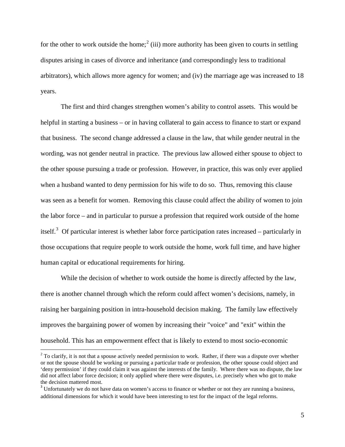for the other to work outside the home;<sup>[2](#page-6-0)</sup> (iii) more authority has been given to courts in settling disputes arising in cases of divorce and inheritance (and correspondingly less to traditional arbitrators), which allows more agency for women; and (iv) the marriage age was increased to 18 years.

The first and third changes strengthen women's ability to control assets. This would be helpful in starting a business – or in having collateral to gain access to finance to start or expand that business. The second change addressed a clause in the law, that while gender neutral in the wording, was not gender neutral in practice. The previous law allowed either spouse to object to the other spouse pursuing a trade or profession. However, in practice, this was only ever applied when a husband wanted to deny permission for his wife to do so. Thus, removing this clause was seen as a benefit for women. Removing this clause could affect the ability of women to join the labor force – and in particular to pursue a profession that required work outside of the home itself.<sup>[3](#page-6-1)</sup> Of particular interest is whether labor force participation rates increased – particularly in those occupations that require people to work outside the home, work full time, and have higher human capital or educational requirements for hiring.

While the decision of whether to work outside the home is directly affected by the law, there is another channel through which the reform could affect women's decisions, namely, in raising her bargaining position in intra-household decision making. The family law effectively improves the bargaining power of women by increasing their "voice" and "exit" within the household. This has an empowerment effect that is likely to extend to most socio-economic

<span id="page-6-0"></span> $2^2$  To clarify, it is not that a spouse actively needed permission to work. Rather, if there was a dispute over whether or not the spouse should be working or pursuing a particular trade or profession, the other spouse could object and 'deny permission' if they could claim it was against the interests of the family. Where there was no dispute, the law did not affect labor force decision; it only applied where there were disputes, i.e. precisely when who got to make the decision mattered most.

<span id="page-6-1"></span><sup>&</sup>lt;sup>3</sup> Unfortunately we do not have data on women's access to finance or whether or not they are running a business, additional dimensions for which it would have been interesting to test for the impact of the legal reforms.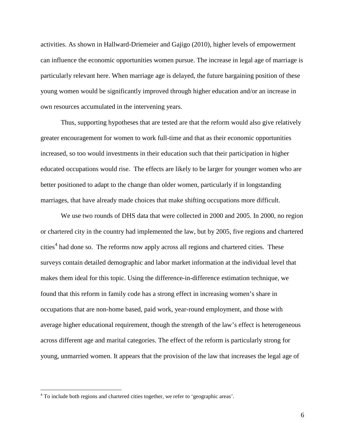activities. As shown in Hallward-Driemeier and Gajigo (2010), higher levels of empowerment can influence the economic opportunities women pursue. The increase in legal age of marriage is particularly relevant here. When marriage age is delayed, the future bargaining position of these young women would be significantly improved through higher education and/or an increase in own resources accumulated in the intervening years.

Thus, supporting hypotheses that are tested are that the reform would also give relatively greater encouragement for women to work full-time and that as their economic opportunities increased, so too would investments in their education such that their participation in higher educated occupations would rise. The effects are likely to be larger for younger women who are better positioned to adapt to the change than older women, particularly if in longstanding marriages, that have already made choices that make shifting occupations more difficult.

We use two rounds of DHS data that were collected in 2000 and 2005. In 2000, no region or chartered city in the country had implemented the law, but by 2005, five regions and chartered cities<sup>[4](#page-7-0)</sup> had done so. The reforms now apply across all regions and chartered cities. These surveys contain detailed demographic and labor market information at the individual level that makes them ideal for this topic. Using the difference-in-difference estimation technique, we found that this reform in family code has a strong effect in increasing women's share in occupations that are non-home based, paid work, year-round employment, and those with average higher educational requirement, though the strength of the law's effect is heterogeneous across different age and marital categories. The effect of the reform is particularly strong for young, unmarried women. It appears that the provision of the law that increases the legal age of

<span id="page-7-0"></span> $4$  To include both regions and chartered cities together, we refer to 'geographic areas'.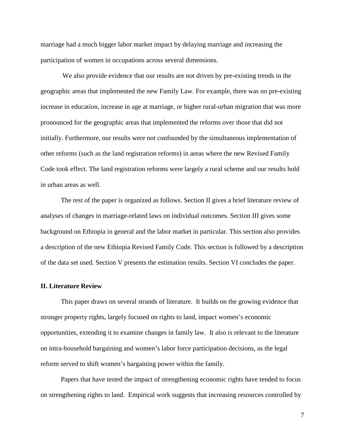marriage had a much bigger labor market impact by delaying marriage and increasing the participation of women in occupations across several dimensions.

 We also provide evidence that our results are not driven by pre-existing trends in the geographic areas that implemented the new Family Law. For example, there was no pre-existing increase in education, increase in age at marriage, or higher rural-urban migration that was more pronounced for the geographic areas that implemented the reforms over those that did not initially. Furthermore, our results were not confounded by the simultaneous implementation of other reforms (such as the land registration reforms) in areas where the new Revised Family Code took effect. The land registration reforms were largely a rural scheme and our results hold in urban areas as well.

The rest of the paper is organized as follows. Section II gives a brief literature review of analyses of changes in marriage-related laws on individual outcomes. Section III gives some background on Ethiopia in general and the labor market in particular. This section also provides a description of the new Ethiopia Revised Family Code. This section is followed by a description of the data set used. Section V presents the estimation results. Section VI concludes the paper.

#### **II. Literature Review**

This paper draws on several strands of literature. It builds on the growing evidence that stronger property rights, largely focused on rights to land, impact women's economic opportunities, extending it to examine changes in family law. It also is relevant to the literature on intra-household bargaining and women's labor force participation decisions, as the legal reform served to shift women's bargaining power within the family.

Papers that have tested the impact of strengthening economic rights have tended to focus on strengthening rights to land. Empirical work suggests that increasing resources controlled by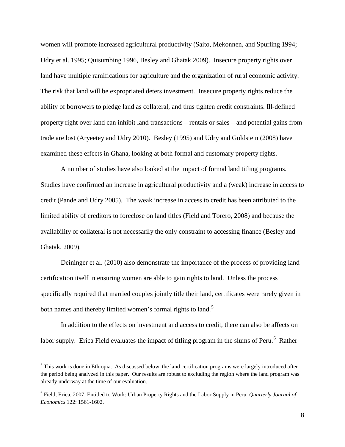women will promote increased agricultural productivity (Saito, Mekonnen, and Spurling 1994; Udry et al. 1995; Quisumbing 1996, Besley and Ghatak 2009). Insecure property rights over land have multiple ramifications for agriculture and the organization of rural economic activity. The risk that land will be expropriated deters investment. Insecure property rights reduce the ability of borrowers to pledge land as collateral, and thus tighten credit constraints. Ill-defined property right over land can inhibit land transactions – rentals or sales – and potential gains from trade are lost (Aryeetey and Udry 2010). Besley (1995) and Udry and Goldstein (2008) have examined these effects in Ghana, looking at both formal and customary property rights.

A number of studies have also looked at the impact of formal land titling programs. Studies have confirmed an increase in agricultural productivity and a (weak) increase in access to credit (Pande and Udry 2005). The weak increase in access to credit has been attributed to the limited ability of creditors to foreclose on land titles (Field and Torero, 2008) and because the availability of collateral is not necessarily the only constraint to accessing finance (Besley and Ghatak, 2009).

Deininger et al. (2010) also demonstrate the importance of the process of providing land certification itself in ensuring women are able to gain rights to land. Unless the process specifically required that married couples jointly title their land, certificates were rarely given in both names and thereby limited women's formal rights to land.<sup>[5](#page-9-0)</sup>

In addition to the effects on investment and access to credit, there can also be affects on labor supply. Erica Field evaluates the impact of titling program in the slums of Peru.<sup>[6](#page-9-1)</sup> Rather

<span id="page-9-0"></span> $<sup>5</sup>$  This work is done in Ethiopia. As discussed below, the land certification programs were largely introduced after</sup> the period being analyzed in this paper. Our results are robust to excluding the region where the land program was already underway at the time of our evaluation.

<span id="page-9-1"></span><sup>6</sup> Field, Erica. 2007. Entitled to Work: Urban Property Rights and the Labor Supply in Peru. *Quarterly Journal of Economics* 122: 1561-1602.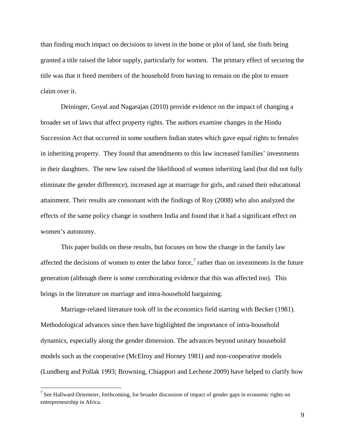than finding much impact on decisions to invest in the home or plot of land, she finds being granted a title raised the labor supply, particularly for women. The primary effect of securing the title was that it freed members of the household from having to remain on the plot to ensure claim over it.

Deininger, Goyal and Nagarajan (2010) provide evidence on the impact of changing a broader set of laws that affect property rights. The authors examine changes in the Hindu Succession Act that occurred in some southern Indian states which gave equal rights to females in inheriting property. They found that amendments to this law increased families' investments in their daughters. The new law raised the likelihood of women inheriting land (but did not fully eliminate the gender difference), increased age at marriage for girls, and raised their educational attainment. Their results are consonant with the findings of Roy (2008) who also analyzed the effects of the same policy change in southern India and found that it had a significant effect on women's autonomy.

This paper builds on these results, but focuses on how the change in the family law affected the decisions of women to enter the labor force,<sup>[7](#page-10-0)</sup> rather than on investments in the future generation (although there is some corroborating evidence that this was affected too). This brings in the literature on marriage and intra-household bargaining.

Marriage-related literature took off in the economics field starting with Becker (1981). Methodological advances since then have highlighted the importance of intra-household dynamics, especially along the gender dimension. The advances beyond unitary household models such as the cooperative (McElroy and Horney 1981) and non-cooperative models (Lundberg and Pollak 1993; Browning, Chiappori and Lechene 2009) have helped to clarify how

<span id="page-10-0"></span><sup>&</sup>lt;sup>7</sup> See Hallward-Driemeier, forthcoming, for broader discussion of impact of gender gaps in economic rights on entrepreneurship in Africa.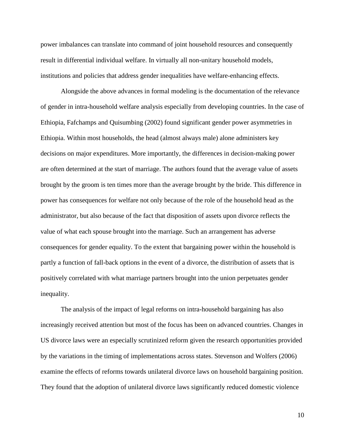power imbalances can translate into command of joint household resources and consequently result in differential individual welfare. In virtually all non-unitary household models, institutions and policies that address gender inequalities have welfare-enhancing effects.

Alongside the above advances in formal modeling is the documentation of the relevance of gender in intra-household welfare analysis especially from developing countries. In the case of Ethiopia, Fafchamps and Quisumbing (2002) found significant gender power asymmetries in Ethiopia. Within most households, the head (almost always male) alone administers key decisions on major expenditures. More importantly, the differences in decision-making power are often determined at the start of marriage. The authors found that the average value of assets brought by the groom is ten times more than the average brought by the bride. This difference in power has consequences for welfare not only because of the role of the household head as the administrator, but also because of the fact that disposition of assets upon divorce reflects the value of what each spouse brought into the marriage. Such an arrangement has adverse consequences for gender equality. To the extent that bargaining power within the household is partly a function of fall-back options in the event of a divorce, the distribution of assets that is positively correlated with what marriage partners brought into the union perpetuates gender inequality.

The analysis of the impact of legal reforms on intra-household bargaining has also increasingly received attention but most of the focus has been on advanced countries. Changes in US divorce laws were an especially scrutinized reform given the research opportunities provided by the variations in the timing of implementations across states. Stevenson and Wolfers (2006) examine the effects of reforms towards unilateral divorce laws on household bargaining position. They found that the adoption of unilateral divorce laws significantly reduced domestic violence

10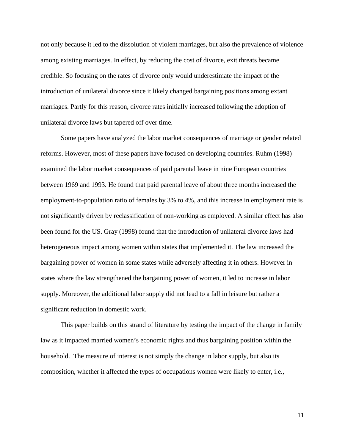not only because it led to the dissolution of violent marriages, but also the prevalence of violence among existing marriages. In effect, by reducing the cost of divorce, exit threats became credible. So focusing on the rates of divorce only would underestimate the impact of the introduction of unilateral divorce since it likely changed bargaining positions among extant marriages. Partly for this reason, divorce rates initially increased following the adoption of unilateral divorce laws but tapered off over time.

Some papers have analyzed the labor market consequences of marriage or gender related reforms. However, most of these papers have focused on developing countries. Ruhm (1998) examined the labor market consequences of paid parental leave in nine European countries between 1969 and 1993. He found that paid parental leave of about three months increased the employment-to-population ratio of females by 3% to 4%, and this increase in employment rate is not significantly driven by reclassification of non-working as employed. A similar effect has also been found for the US. Gray (1998) found that the introduction of unilateral divorce laws had heterogeneous impact among women within states that implemented it. The law increased the bargaining power of women in some states while adversely affecting it in others. However in states where the law strengthened the bargaining power of women, it led to increase in labor supply. Moreover, the additional labor supply did not lead to a fall in leisure but rather a significant reduction in domestic work.

This paper builds on this strand of literature by testing the impact of the change in family law as it impacted married women's economic rights and thus bargaining position within the household. The measure of interest is not simply the change in labor supply, but also its composition, whether it affected the types of occupations women were likely to enter, i.e.,

11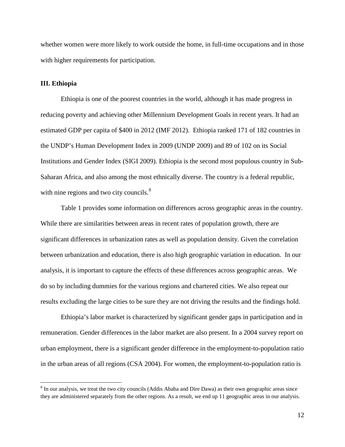whether women were more likely to work outside the home, in full-time occupations and in those with higher requirements for participation.

# **III. Ethiopia**

 $\overline{a}$ 

 Ethiopia is one of the poorest countries in the world, although it has made progress in reducing poverty and achieving other Millennium Development Goals in recent years. It had an estimated GDP per capita of \$400 in 2012 (IMF 2012). Ethiopia ranked 171 of 182 countries in the UNDP's Human Development Index in 2009 (UNDP 2009) and 89 of 102 on its Social Institutions and Gender Index (SIGI 2009). Ethiopia is the second most populous country in Sub-Saharan Africa, and also among the most ethnically diverse. The country is a federal republic, with nine regions and two city councils. $8<sup>8</sup>$  $8<sup>8</sup>$ 

Table 1 provides some information on differences across geographic areas in the country. While there are similarities between areas in recent rates of population growth, there are significant differences in urbanization rates as well as population density. Given the correlation between urbanization and education, there is also high geographic variation in education. In our analysis, it is important to capture the effects of these differences across geographic areas. We do so by including dummies for the various regions and chartered cities. We also repeat our results excluding the large cities to be sure they are not driving the results and the findings hold.

Ethiopia's labor market is characterized by significant gender gaps in participation and in remuneration. Gender differences in the labor market are also present. In a 2004 survey report on urban employment, there is a significant gender difference in the employment-to-population ratio in the urban areas of all regions (CSA 2004). For women, the employment-to-population ratio is

<span id="page-13-0"></span><sup>&</sup>lt;sup>8</sup> In our analysis, we treat the two city councils (Addis Ababa and Dire Dawa) as their own geographic areas since they are administered separately from the other regions. As a result, we end up 11 geographic areas in our analysis.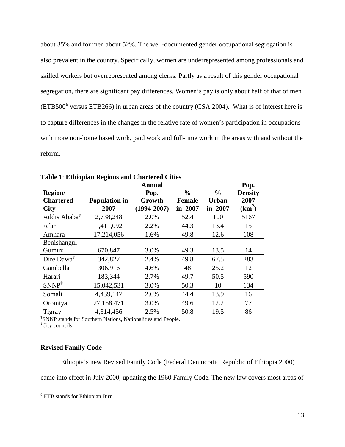about 35% and for men about 52%. The well-documented gender occupational segregation is also prevalent in the country. Specifically, women are underrepresented among professionals and skilled workers but overrepresented among clerks. Partly as a result of this gender occupational segregation, there are significant pay differences. Women's pay is only about half of that of men (ETB500<sup>[9](#page-14-0)</sup> versus ETB266) in urban areas of the country (CSA 2004). What is of interest here is to capture differences in the changes in the relative rate of women's participation in occupations with more non-home based work, paid work and full-time work in the areas with and without the reform.

|                          |                      | Annual          |               |               | Pop.           |
|--------------------------|----------------------|-----------------|---------------|---------------|----------------|
| Region/                  |                      | Pop.            | $\frac{6}{6}$ | $\frac{0}{0}$ | <b>Density</b> |
| <b>Chartered</b>         | <b>Population in</b> | Growth          | <b>Female</b> | <b>Urban</b>  | 2007           |
| <b>City</b>              | 2007                 | $(1994 - 2007)$ | in 2007       | in 2007       | $(km^2)$       |
| Addis Ababa <sup>§</sup> | 2,738,248            | 2.0%            | 52.4          | 100           | 5167           |
| Afar                     | 1,411,092            | 2.2%            | 44.3          | 13.4          | 15             |
| Amhara                   | 17,214,056           | 1.6%            | 49.8          | 12.6          | 108            |
| Benishangul              |                      |                 |               |               |                |
| Gumuz                    | 670,847              | 3.0%            | 49.3          | 13.5          | 14             |
| Dire Dawa <sup>§</sup>   | 342,827              | 2.4%            | 49.8          | 67.5          | 283            |
| Gambella                 | 306,916              | 4.6%            | 48            | 25.2          | 12             |
| Harari                   | 183,344              | 2.7%            | 49.7          | 50.5          | 590            |
| $SNNP^{\ddagger}$        | 15,042,531           | 3.0%            | 50.3          | 10            | 134            |
| Somali                   | 4,439,147            | 2.6%            | 44.4          | 13.9          | 16             |
| Oromiya                  | 27,158,471           | 3.0%            | 49.6          | 12.2          | 77             |
| Tigray                   | 4,314,456            | 2.5%            | 50.8          | 19.5          | 86             |

**Table 1**: **Ethiopian Regions and Chartered Cities**

‡ SNNP stands for Southern Nations, Nationalities and People. § City councils.

# **Revised Family Code**

Ethiopia's new Revised Family Code (Federal Democratic Republic of Ethiopia 2000)

came into effect in July 2000, updating the 1960 Family Code. The new law covers most areas of

<span id="page-14-0"></span><sup>&</sup>lt;sup>9</sup> ETB stands for Ethiopian Birr.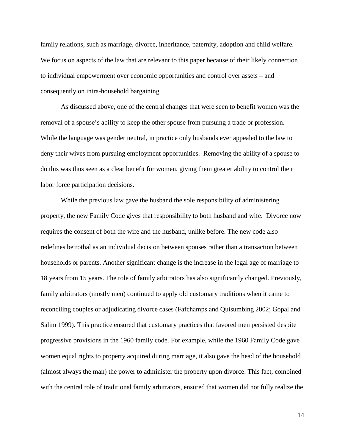family relations, such as marriage, divorce, inheritance, paternity, adoption and child welfare. We focus on aspects of the law that are relevant to this paper because of their likely connection to individual empowerment over economic opportunities and control over assets – and consequently on intra-household bargaining.

As discussed above, one of the central changes that were seen to benefit women was the removal of a spouse's ability to keep the other spouse from pursuing a trade or profession. While the language was gender neutral, in practice only husbands ever appealed to the law to deny their wives from pursuing employment opportunities. Removing the ability of a spouse to do this was thus seen as a clear benefit for women, giving them greater ability to control their labor force participation decisions.

While the previous law gave the husband the sole responsibility of administering property, the new Family Code gives that responsibility to both husband and wife. Divorce now requires the consent of both the wife and the husband, unlike before. The new code also redefines betrothal as an individual decision between spouses rather than a transaction between households or parents. Another significant change is the increase in the legal age of marriage to 18 years from 15 years. The role of family arbitrators has also significantly changed. Previously, family arbitrators (mostly men) continued to apply old customary traditions when it came to reconciling couples or adjudicating divorce cases (Fafchamps and Quisumbing 2002; Gopal and Salim 1999). This practice ensured that customary practices that favored men persisted despite progressive provisions in the 1960 family code. For example, while the 1960 Family Code gave women equal rights to property acquired during marriage, it also gave the head of the household (almost always the man) the power to administer the property upon divorce. This fact, combined with the central role of traditional family arbitrators, ensured that women did not fully realize the

14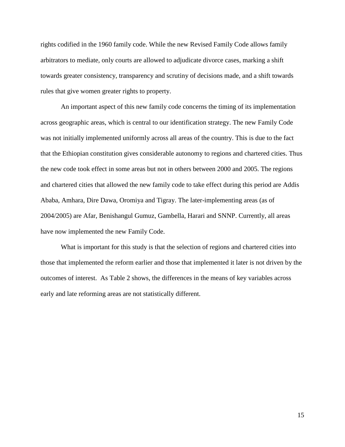rights codified in the 1960 family code. While the new Revised Family Code allows family arbitrators to mediate, only courts are allowed to adjudicate divorce cases, marking a shift towards greater consistency, transparency and scrutiny of decisions made, and a shift towards rules that give women greater rights to property.

An important aspect of this new family code concerns the timing of its implementation across geographic areas, which is central to our identification strategy. The new Family Code was not initially implemented uniformly across all areas of the country. This is due to the fact that the Ethiopian constitution gives considerable autonomy to regions and chartered cities. Thus the new code took effect in some areas but not in others between 2000 and 2005. The regions and chartered cities that allowed the new family code to take effect during this period are Addis Ababa, Amhara, Dire Dawa, Oromiya and Tigray. The later-implementing areas (as of 2004/2005) are Afar, Benishangul Gumuz, Gambella, Harari and SNNP. Currently, all areas have now implemented the new Family Code.

What is important for this study is that the selection of regions and chartered cities into those that implemented the reform earlier and those that implemented it later is not driven by the outcomes of interest. As Table 2 shows, the differences in the means of key variables across early and late reforming areas are not statistically different.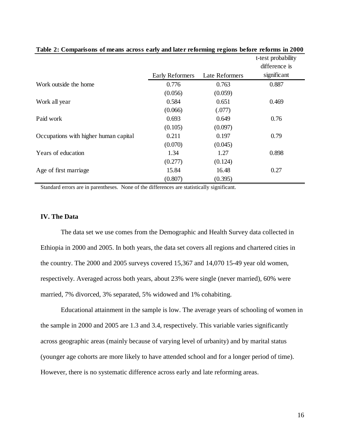|                                       |                        | o<br>$\circ$   | t-test probability           |
|---------------------------------------|------------------------|----------------|------------------------------|
|                                       | <b>Early Reformers</b> | Late Reformers | difference is<br>significant |
| Work outside the home                 | 0.776                  | 0.763          | 0.887                        |
|                                       | (0.056)                | (0.059)        |                              |
| Work all year                         | 0.584                  | 0.651          | 0.469                        |
|                                       | (0.066)                | (.077)         |                              |
| Paid work                             | 0.693                  | 0.649          | 0.76                         |
|                                       | (0.105)                | (0.097)        |                              |
| Occupations with higher human capital | 0.211                  | 0.197          | 0.79                         |
|                                       | (0.070)                | (0.045)        |                              |
| Years of education                    | 1.34                   | 1.27           | 0.898                        |
|                                       | (0.277)                | (0.124)        |                              |
| Age of first marriage                 | 15.84                  | 16.48          | 0.27                         |
|                                       | (0.807)                | (0.395)        |                              |

# **Table 2: Comparisons of means across early and later reforming regions before reforms in 2000**

Standard errors are in parentheses. None of the differences are statistically significant.

## **IV. The Data**

The data set we use comes from the Demographic and Health Survey data collected in Ethiopia in 2000 and 2005. In both years, the data set covers all regions and chartered cities in the country. The 2000 and 2005 surveys covered 15,367 and 14,070 15-49 year old women, respectively. Averaged across both years, about 23% were single (never married), 60% were married, 7% divorced, 3% separated, 5% widowed and 1% cohabiting.

Educational attainment in the sample is low. The average years of schooling of women in the sample in 2000 and 2005 are 1.3 and 3.4, respectively. This variable varies significantly across geographic areas (mainly because of varying level of urbanity) and by marital status (younger age cohorts are more likely to have attended school and for a longer period of time). However, there is no systematic difference across early and late reforming areas.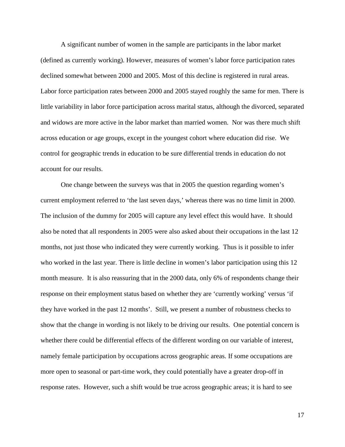A significant number of women in the sample are participants in the labor market (defined as currently working). However, measures of women's labor force participation rates declined somewhat between 2000 and 2005. Most of this decline is registered in rural areas. Labor force participation rates between 2000 and 2005 stayed roughly the same for men. There is little variability in labor force participation across marital status, although the divorced, separated and widows are more active in the labor market than married women. Nor was there much shift across education or age groups, except in the youngest cohort where education did rise. We control for geographic trends in education to be sure differential trends in education do not account for our results.

One change between the surveys was that in 2005 the question regarding women's current employment referred to 'the last seven days,' whereas there was no time limit in 2000. The inclusion of the dummy for 2005 will capture any level effect this would have. It should also be noted that all respondents in 2005 were also asked about their occupations in the last 12 months, not just those who indicated they were currently working. Thus is it possible to infer who worked in the last year. There is little decline in women's labor participation using this 12 month measure. It is also reassuring that in the 2000 data, only 6% of respondents change their response on their employment status based on whether they are 'currently working' versus 'if they have worked in the past 12 months'. Still, we present a number of robustness checks to show that the change in wording is not likely to be driving our results. One potential concern is whether there could be differential effects of the different wording on our variable of interest, namely female participation by occupations across geographic areas. If some occupations are more open to seasonal or part-time work, they could potentially have a greater drop-off in response rates. However, such a shift would be true across geographic areas; it is hard to see

17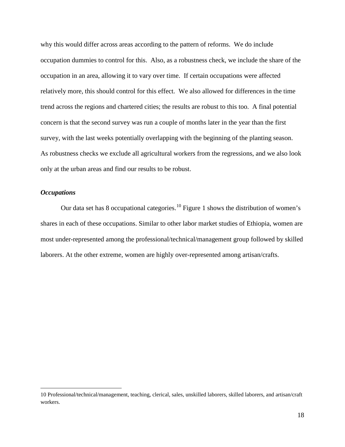why this would differ across areas according to the pattern of reforms. We do include occupation dummies to control for this. Also, as a robustness check, we include the share of the occupation in an area, allowing it to vary over time. If certain occupations were affected relatively more, this should control for this effect. We also allowed for differences in the time trend across the regions and chartered cities; the results are robust to this too. A final potential concern is that the second survey was run a couple of months later in the year than the first survey, with the last weeks potentially overlapping with the beginning of the planting season. As robustness checks we exclude all agricultural workers from the regressions, and we also look only at the urban areas and find our results to be robust.

# *Occupations*

 $\overline{a}$ 

Our data set has 8 occupational categories.<sup>[10](#page-19-0)</sup> Figure 1 shows the distribution of women's shares in each of these occupations. Similar to other labor market studies of Ethiopia, women are most under-represented among the professional/technical/management group followed by skilled laborers. At the other extreme, women are highly over-represented among artisan/crafts.

<span id="page-19-0"></span><sup>10</sup> Professional/technical/management, teaching, clerical, sales, unskilled laborers, skilled laborers, and artisan/craft workers.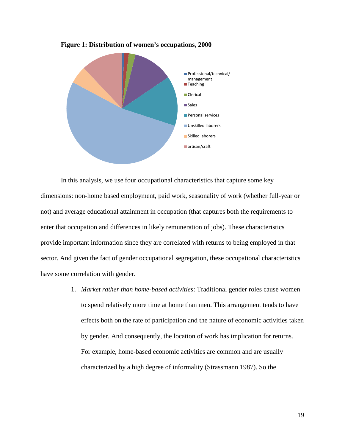

**Figure 1: Distribution of women's occupations, 2000** 

In this analysis, we use four occupational characteristics that capture some key dimensions: non-home based employment, paid work, seasonality of work (whether full-year or not) and average educational attainment in occupation (that captures both the requirements to enter that occupation and differences in likely remuneration of jobs). These characteristics provide important information since they are correlated with returns to being employed in that sector. And given the fact of gender occupational segregation, these occupational characteristics have some correlation with gender.

> 1. *Market rather than home-based activities*: Traditional gender roles cause women to spend relatively more time at home than men. This arrangement tends to have effects both on the rate of participation and the nature of economic activities taken by gender. And consequently, the location of work has implication for returns. For example, home-based economic activities are common and are usually characterized by a high degree of informality (Strassmann 1987). So the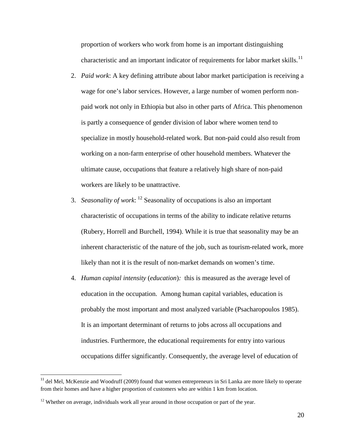proportion of workers who work from home is an important distinguishing characteristic and an important indicator of requirements for labor market skills.<sup>11</sup>

- 2. *Paid work*: A key defining attribute about labor market participation is receiving a wage for one's labor services. However, a large number of women perform nonpaid work not only in Ethiopia but also in other parts of Africa. This phenomenon is partly a consequence of gender division of labor where women tend to specialize in mostly household-related work. But non-paid could also result from working on a non-farm enterprise of other household members. Whatever the ultimate cause, occupations that feature a relatively high share of non-paid workers are likely to be unattractive.
- 3. *Seasonality of work*: [12](#page-21-1) Seasonality of occupations is also an important characteristic of occupations in terms of the ability to indicate relative returns (Rubery, Horrell and Burchell, 1994). While it is true that seasonality may be an inherent characteristic of the nature of the job, such as tourism-related work, more likely than not it is the result of non-market demands on women's time.
- 4. *Human capital intensity* (*education*)*:* this is measured as the average level of education in the occupation. Among human capital variables, education is probably the most important and most analyzed variable (Psacharopoulos 1985). It is an important determinant of returns to jobs across all occupations and industries. Furthermore, the educational requirements for entry into various occupations differ significantly. Consequently, the average level of education of

<span id="page-21-0"></span><sup>&</sup>lt;sup>11</sup> del Mel, McKenzie and Woodruff (2009) found that women entrepreneurs in Sri Lanka are more likely to operate from their homes and have a higher proportion of customers who are within 1 km from location.

<span id="page-21-1"></span> $12$  Whether on average, individuals work all year around in those occupation or part of the year.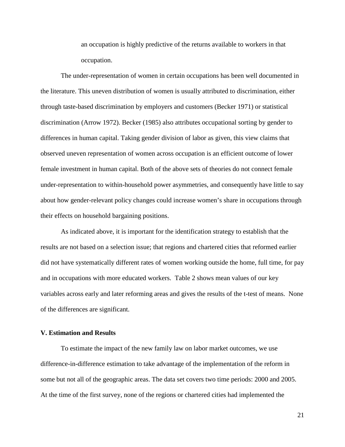an occupation is highly predictive of the returns available to workers in that occupation.

The under-representation of women in certain occupations has been well documented in the literature. This uneven distribution of women is usually attributed to discrimination, either through taste-based discrimination by employers and customers (Becker 1971) or statistical discrimination (Arrow 1972). Becker (1985) also attributes occupational sorting by gender to differences in human capital. Taking gender division of labor as given, this view claims that observed uneven representation of women across occupation is an efficient outcome of lower female investment in human capital. Both of the above sets of theories do not connect female under-representation to within-household power asymmetries, and consequently have little to say about how gender-relevant policy changes could increase women's share in occupations through their effects on household bargaining positions.

As indicated above, it is important for the identification strategy to establish that the results are not based on a selection issue; that regions and chartered cities that reformed earlier did not have systematically different rates of women working outside the home, full time, for pay and in occupations with more educated workers. Table 2 shows mean values of our key variables across early and later reforming areas and gives the results of the t-test of means. None of the differences are significant.

# **V. Estimation and Results**

To estimate the impact of the new family law on labor market outcomes, we use difference-in-difference estimation to take advantage of the implementation of the reform in some but not all of the geographic areas. The data set covers two time periods: 2000 and 2005. At the time of the first survey, none of the regions or chartered cities had implemented the

21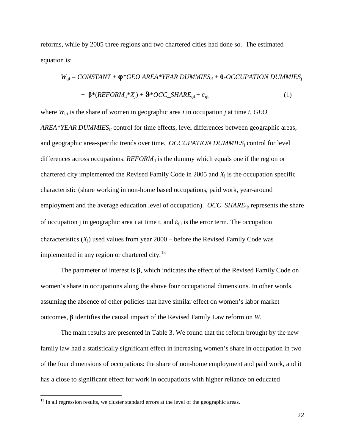reforms, while by 2005 three regions and two chartered cities had done so. The estimated equation is:

$$
W_{ijt} = CONSTANT + \mathbf{\varphi} * GEO AREA * YEAR\nUMMIES_{it} + \mathbf{\theta} * OCCUPATION\nUMMIES_{j}
$$
\n
$$
+ \mathbf{\beta} * (REFORM_{it} * X_j) + \mathbf{\vartheta} * OCC\_SHARE_{ijt} + \varepsilon_{ijt}
$$
\n(1)

where  $W_{\text{fit}}$  is the share of women in geographic area *i* in occupation *j* at time *t*, *GEO AREA\*YEAR DUMMIES<sub>it</sub>* control for time effects, level differences between geographic areas, and geographic area-specific trends over time. *OCCUPATION DUMMIES*j control for level differences across occupations. *REFORM<sub>it</sub>* is the dummy which equals one if the region or chartered city implemented the Revised Family Code in 2005 and *X*<sup>j</sup> is the occupation specific characteristic (share working in non-home based occupations, paid work, year-around employment and the average education level of occupation). *OCC\_SHARE*<sub>ijt</sub> represents the share of occupation j in geographic area i at time t, and *ε*ijt is the error term. The occupation characteristics  $(X_i)$  used values from year  $2000$  – before the Revised Family Code was implemented in any region or chartered city.<sup>[13](#page-23-0)</sup>

The parameter of interest is **β**, which indicates the effect of the Revised Family Code on women's share in occupations along the above four occupational dimensions. In other words, assuming the absence of other policies that have similar effect on women's labor market outcomes, **β** identifies the causal impact of the Revised Family Law reform on *W*.

The main results are presented in Table 3. We found that the reform brought by the new family law had a statistically significant effect in increasing women's share in occupation in two of the four dimensions of occupations: the share of non-home employment and paid work, and it has a close to significant effect for work in occupations with higher reliance on educated

<span id="page-23-0"></span><sup>&</sup>lt;sup>13</sup> In all regression results, we cluster standard errors at the level of the geographic areas.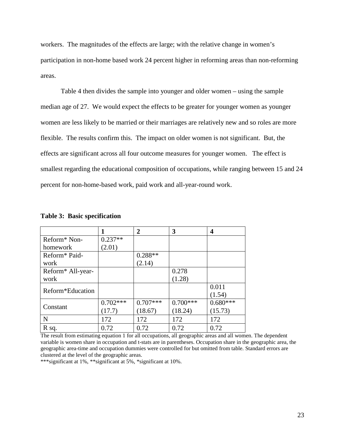workers. The magnitudes of the effects are large; with the relative change in women's participation in non-home based work 24 percent higher in reforming areas than non-reforming areas.

Table 4 then divides the sample into younger and older women – using the sample median age of 27. We would expect the effects to be greater for younger women as younger women are less likely to be married or their marriages are relatively new and so roles are more flexible. The results confirm this. The impact on older women is not significant. But, the effects are significant across all four outcome measures for younger women. The effect is smallest regarding the educational composition of occupations, while ranging between 15 and 24 percent for non-home-based work, paid work and all-year-round work.

|                   |            | $\overline{2}$ | 3          | $\boldsymbol{4}$ |
|-------------------|------------|----------------|------------|------------------|
| Reform* Non-      | $0.237**$  |                |            |                  |
| homework          | (2.01)     |                |            |                  |
| Reform* Paid-     |            | $0.288**$      |            |                  |
| work              |            | (2.14)         |            |                  |
| Reform* All-year- |            |                | 0.278      |                  |
| work              |            |                | (1.28)     |                  |
| Reform*Education  |            |                |            | 0.011            |
|                   |            |                |            | (1.54)           |
| Constant          | $0.702***$ | $0.707***$     | $0.700***$ | $0.680***$       |
|                   | (17.7)     | (18.67)        | (18.24)    | (15.73)          |
| N                 | 172        | 172            | 172        | 172              |
| R sq.             | 0.72       | 0.72           | 0.72       | 0.72             |

|  |  | <b>Table 3: Basic specification</b> |
|--|--|-------------------------------------|
|--|--|-------------------------------------|

The result from estimating equation 1 for all occupations, all geographic areas and all women. The dependent variable is women share in occupation and t-stats are in parentheses. Occupation share in the geographic area, the geographic area-time and occupation dummies were controlled for but omitted from table. Standard errors are clustered at the level of the geographic areas.

\*\*\*significant at 1%, \*\*significant at 5%, \*significant at 10%.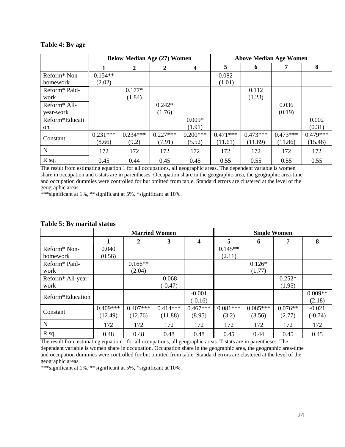# **Table 4: By age**

|                | <b>Below Median Age (27) Women</b> |            |              |            | <b>Above Median Age Women</b> |            |            |            |
|----------------|------------------------------------|------------|--------------|------------|-------------------------------|------------|------------|------------|
|                |                                    | 2          | $\mathbf{2}$ | 4          | 5                             | 6          |            | 8          |
| Reform* Non-   | $0.154**$                          |            |              |            | 0.082                         |            |            |            |
| homework       | (2.02)                             |            |              |            | (1.01)                        |            |            |            |
| Reform* Paid-  |                                    | $0.177*$   |              |            |                               | 0.112      |            |            |
| work           |                                    | (1.84)     |              |            |                               | (1.23)     |            |            |
| Reform* All-   |                                    |            | $0.242*$     |            |                               |            | 0.036      |            |
| year-work      |                                    |            | (1.76)       |            |                               |            | (0.19)     |            |
| Reform*Educati |                                    |            |              | $0.009*$   |                               |            |            | 0.002      |
| on             |                                    |            |              | (1.91)     |                               |            |            | (0.31)     |
| Constant       | $0.231***$                         | $0.234***$ | $0.227***$   | $0.200***$ | $0.471***$                    | $0.473***$ | $0.473***$ | $0.479***$ |
|                | (8.66)                             | (9.2)      | (7.91)       | (5.52)     | (11.61)                       | (11.89)    | (11.86)    | (15.46)    |
| N              | 172                                | 172        | 172          | 172        | 172                           | 172        | 172        | 172        |
| R sq.          | 0.45                               | 0.44       | 0.45         | 0.45       | 0.55                          | 0.55       | 0.55       | 0.55       |

The result from estimating equation 1 for all occupations, all geographic areas. The dependent variable is women share in occupation and t-stats are in parentheses. Occupation share in the geographic area, the geographic area-time and occupation dummies were controlled for but omitted from table. Standard errors are clustered at the level of the geographic areas

\*\*\*significant at 1%, \*\*significant at 5%, \*significant at 10%.

|                   | <b>Married Women</b> |            |            |                  | <b>Single Women</b> |            |           |           |
|-------------------|----------------------|------------|------------|------------------|---------------------|------------|-----------|-----------|
|                   |                      |            | 3          | $\boldsymbol{4}$ | 5                   | 6          | 7         | 8         |
| Reform* Non-      | 0.040                |            |            |                  | $0.145**$           |            |           |           |
| homework          | (0.56)               |            |            |                  | (2.11)              |            |           |           |
| Reform* Paid-     |                      | $0.166**$  |            |                  |                     | $0.126*$   |           |           |
| work              |                      | (2.04)     |            |                  |                     | (1.77)     |           |           |
| Reform* All-year- |                      |            | $-0.068$   |                  |                     |            | $0.252*$  |           |
| work              |                      |            | $(-0.47)$  |                  |                     |            | (1.95)    |           |
| Reform*Education  |                      |            |            | $-0.001$         |                     |            |           | $0.009**$ |
|                   |                      |            |            | $(-0.16)$        |                     |            |           | (2.18)    |
| Constant          | $0.409***$           | $0.407***$ | $0.414***$ | $0.467***$       | $0.081***$          | $0.085***$ | $0.076**$ | $-0.021$  |
|                   | (12.49)              | (12.76)    | (11.88)    | (8.95)           | (3.2)               | (3.56)     | (2.77)    | $(-0.74)$ |
| N                 | 172                  | 172        | 172        | 172              | 172                 | 172        | 172       | 172       |
| R sq.             | 0.48                 | 0.48       | 0.48       | 0.48             | 0.45                | 0.44       | 0.45      | 0.45      |

# **Table 5: By marital status**

The result from estimating equation 1 for all occupations, all geographic areas. T-stats are in parentheses. The dependent variable is women share in occupation. Occupation share in the geographic area, the geographic area-time and occupation dummies were controlled for but omitted from table. Standard errors are clustered at the level of the geographic areas.

\*\*\*significant at 1%, \*\*significant at 5%, \*significant at 10%.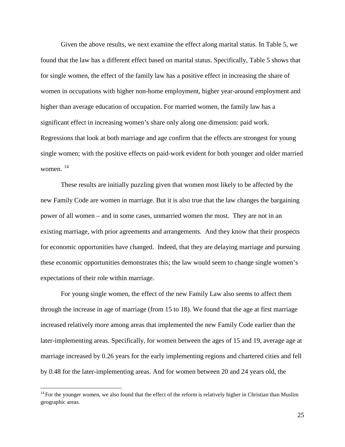Given the above results, we next examine the effect along marital status. In Table 5, we found that the law has a different effect based on marital status. Specifically, Table 5 shows that for single women, the effect of the family law has a positive effect in increasing the share of women in occupations with higher non-home employment, higher year-around employment and higher than average education of occupation. For married women, the family law has a significant effect in increasing women's share only along one dimension: paid work. Regressions that look at both marriage and age confirm that the effects are strongest for young single women; with the positive effects on paid-work evident for both younger and older married women $14$ 

These results are initially puzzling given that women most likely to be affected by the new Family Code are women in marriage. But it is also true that the law changes the bargaining power of all women – and in some cases, unmarried women the most. They are not in an existing marriage, with prior agreements and arrangements. And they know that their prospects for economic opportunities have changed. Indeed, that they are delaying marriage and pursuing these economic opportunities demonstrates this; the law would seem to change single women's expectations of their role within marriage.

For young single women, the effect of the new Family Law also seems to affect them through the increase in age of marriage (from 15 to 18). We found that the age at first marriage increased relatively more among areas that implemented the new Family Code earlier than the later-implementing areas. Specifically, for women between the ages of 15 and 19, average age at marriage increased by 0.26 years for the early implementing regions and chartered cities and fell by 0.48 for the later-implementing areas. And for women between 20 and 24 years old, the

<span id="page-26-0"></span> $14$  For the younger women, we also found that the effect of the reform is relatively higher in Christian than Muslim geographic areas.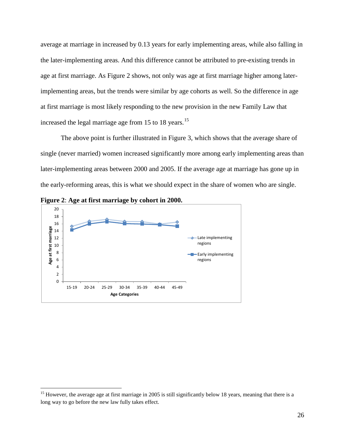average at marriage in increased by 0.13 years for early implementing areas, while also falling in the later-implementing areas. And this difference cannot be attributed to pre-existing trends in age at first marriage. As Figure 2 shows, not only was age at first marriage higher among laterimplementing areas, but the trends were similar by age cohorts as well. So the difference in age at first marriage is most likely responding to the new provision in the new Family Law that increased the legal marriage age from [15](#page-27-0) to 18 years.<sup>15</sup>

The above point is further illustrated in Figure 3, which shows that the average share of single (never married) women increased significantly more among early implementing areas than later-implementing areas between 2000 and 2005. If the average age at marriage has gone up in the early-reforming areas, this is what we should expect in the share of women who are single.



**Figure 2**: **Age at first marriage by cohort in 2000.** 

<span id="page-27-0"></span><sup>&</sup>lt;sup>15</sup> However, the average age at first marriage in 2005 is still significantly below 18 years, meaning that there is a long way to go before the new law fully takes effect.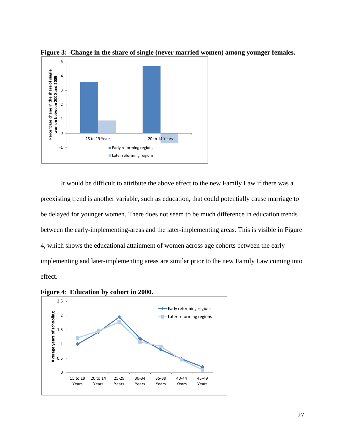

**Figure 3: Change in the share of single (never married women) among younger females.**

It would be difficult to attribute the above effect to the new Family Law if there was a preexisting trend is another variable, such as education, that could potentially cause marriage to be delayed for younger women. There does not seem to be much difference in education trends between the early-implementing-areas and the later-implementing areas. This is visible in Figure 4, which shows the educational attainment of women across age cohorts between the early implementing and later-implementing areas are similar prior to the new Family Law coming into effect.



**Figure 4**: **Education by cohort in 2000.**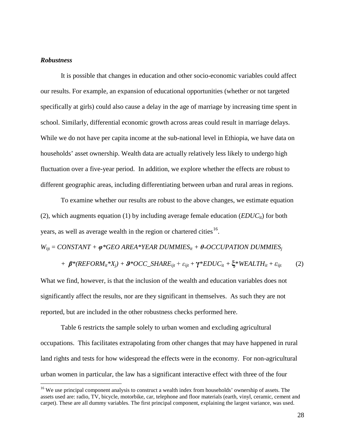# *Robustness*

 $\overline{a}$ 

It is possible that changes in education and other socio-economic variables could affect our results. For example, an expansion of educational opportunities (whether or not targeted specifically at girls) could also cause a delay in the age of marriage by increasing time spent in school. Similarly, differential economic growth across areas could result in marriage delays. While we do not have per capita income at the sub-national level in Ethiopia, we have data on households' asset ownership. Wealth data are actually relatively less likely to undergo high fluctuation over a five-year period. In addition, we explore whether the effects are robust to different geographic areas, including differentiating between urban and rural areas in regions.

To examine whether our results are robust to the above changes, we estimate equation (2), which augments equation (1) by including average female education  $(EDUC_{it})$  for both years, as well as average wealth in the region or chartered cities<sup>16</sup>.

$$
W_{ijt} = CONSTANT + \varphi * GEO AREA * YEAR DUMMIES_{it} + \theta * OCCUPATION DUMMIES_{j}
$$

+ 
$$
\beta^*(REFORM_{it} * X_j)
$$
 +  $\beta^*OCC\_SHARE_{ijt} + \varepsilon_{ijt} + \gamma^*EDUC_{it} + \xi^*WEALTH_{it} + \varepsilon_{ijt}$  (2)

What we find, however, is that the inclusion of the wealth and education variables does not significantly affect the results, nor are they significant in themselves. As such they are not reported, but are included in the other robustness checks performed here.

Table 6 restricts the sample solely to urban women and excluding agricultural occupations. This facilitates extrapolating from other changes that may have happened in rural land rights and tests for how widespread the effects were in the economy. For non-agricultural urban women in particular, the law has a significant interactive effect with three of the four

<span id="page-29-0"></span><sup>&</sup>lt;sup>16</sup> We use principal component analysis to construct a wealth index from households' ownership of assets. The assets used are: radio, TV, bicycle, motorbike, car, telephone and floor materials (earth, vinyl, ceramic, cement and carpet). These are all dummy variables. The first principal component, explaining the largest variance, was used.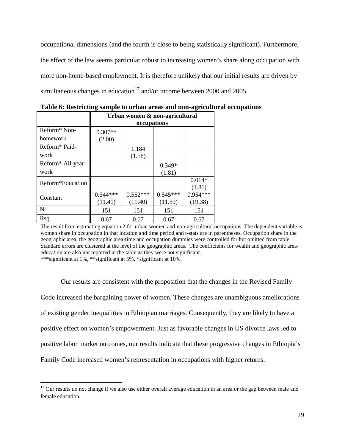occupational dimensions (and the fourth is close to being statistically significant). Furthermore, the effect of the law seems particular robust to increasing women's share along occupation with more non-home-based employment. It is therefore unlikely that our initial results are driven by simultaneous changes in education<sup>[17](#page-30-0)</sup> and/or income between 2000 and 2005.

|                   | Urban women & non-agricultural |            |            |            |  |  |  |  |
|-------------------|--------------------------------|------------|------------|------------|--|--|--|--|
|                   | occupations                    |            |            |            |  |  |  |  |
| Reform* Non-      | $0.307**$                      |            |            |            |  |  |  |  |
| homework          | (2.00)                         |            |            |            |  |  |  |  |
| Reform* Paid-     |                                | 1.184      |            |            |  |  |  |  |
| work              |                                | (1.58)     |            |            |  |  |  |  |
| Reform* All-year- |                                |            | $0.349*$   |            |  |  |  |  |
| work              |                                |            | (1.81)     |            |  |  |  |  |
| Reform*Education  |                                |            |            | $0.014*$   |  |  |  |  |
|                   |                                |            |            | (1.81)     |  |  |  |  |
| Constant          | $0.544***$                     | $0.552***$ | $0.545***$ | $0.954***$ |  |  |  |  |
|                   | (11.41)                        | (11.40)    | (11.59)    | (19.38)    |  |  |  |  |
| N.                | 151                            | 151        | 151        | 151        |  |  |  |  |
| Rsq               | 0.67                           | 0.67       | 0.67       | 0.67       |  |  |  |  |

**Table 6: Restricting sample to urban areas and non-agricultural occupations** 

The result from estimating equation 2 for urban women and non-agricultural occupations. The dependent variable is women share in occupation in that location and time period and t-stats are in parentheses. Occupation share in the geographic area, the geographic area-time and occupation dummies were controlled for but omitted from table. Standard errors are clustered at the level of the geographic areas. The coefficients for wealth and geographic areaeducation are also not reported in the table as they were not significant. \*\*\*significant at 1%, \*\*significant at 5%, \*significant at 10%.

 $\overline{a}$ 

Our results are consistent with the proposition that the changes in the Revised Family Code increased the bargaining power of women. These changes are unambiguous ameliorations of existing gender inequalities in Ethiopian marriages. Consequently, they are likely to have a positive effect on women's empowerment. Just as favorable changes in US divorce laws led to positive labor market outcomes, our results indicate that these progressive changes in Ethiopia's Family Code increased women's representation in occupations with higher returns.

<span id="page-30-0"></span><sup>&</sup>lt;sup>17</sup> Our results do not change if we also use either overall average education in an area or the gap between male and female education.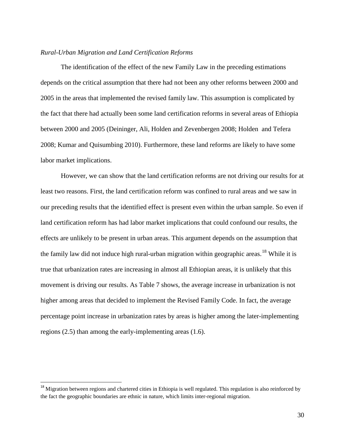# *Rural-Urban Migration and Land Certification Reforms*

 The identification of the effect of the new Family Law in the preceding estimations depends on the critical assumption that there had not been any other reforms between 2000 and 2005 in the areas that implemented the revised family law. This assumption is complicated by the fact that there had actually been some land certification reforms in several areas of Ethiopia between 2000 and 2005 (Deininger, Ali, Holden and Zevenbergen 2008; Holden and Tefera 2008; Kumar and Quisumbing 2010). Furthermore, these land reforms are likely to have some labor market implications.

 However, we can show that the land certification reforms are not driving our results for at least two reasons. First, the land certification reform was confined to rural areas and we saw in our preceding results that the identified effect is present even within the urban sample. So even if land certification reform has had labor market implications that could confound our results, the effects are unlikely to be present in urban areas. This argument depends on the assumption that the family law did not induce high rural-urban migration within geographic areas.<sup>[18](#page-31-0)</sup> While it is true that urbanization rates are increasing in almost all Ethiopian areas, it is unlikely that this movement is driving our results. As Table 7 shows, the average increase in urbanization is not higher among areas that decided to implement the Revised Family Code. In fact, the average percentage point increase in urbanization rates by areas is higher among the later-implementing regions (2.5) than among the early-implementing areas (1.6).

<span id="page-31-0"></span><sup>&</sup>lt;sup>18</sup> Migration between regions and chartered cities in Ethiopia is well regulated. This regulation is also reinforced by the fact the geographic boundaries are ethnic in nature, which limits inter-regional migration.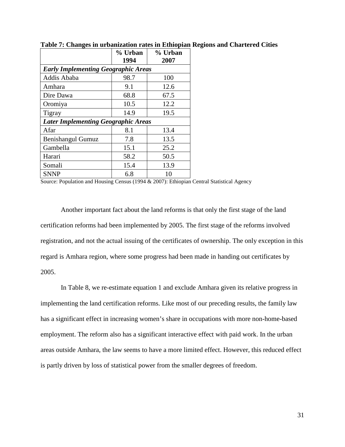|                                            | % Urban | % Urban |
|--------------------------------------------|---------|---------|
|                                            | 1994    | 2007    |
| <b>Early Implementing Geographic Areas</b> |         |         |
| Addis Ababa                                | 98.7    | 100     |
| Amhara                                     | 9.1     | 12.6    |
| Dire Dawa                                  | 68.8    | 67.5    |
| Oromiya                                    | 10.5    | 12.2    |
| Tigray                                     | 14.9    | 19.5    |
| <b>Later Implementing Geographic Areas</b> |         |         |
| Afar                                       | 8.1     | 13.4    |
| <b>Benishangul Gumuz</b>                   | 7.8     | 13.5    |
| Gambella                                   | 15.1    | 25.2    |
| Harari                                     | 58.2    | 50.5    |
| Somali                                     | 15.4    | 13.9    |
| <b>SNNP</b>                                | 6.8     | 10      |

**Table 7: Changes in urbanization rates in Ethiopian Regions and Chartered Cities**

Source: Population and Housing Census (1994 & 2007): Ethiopian Central Statistical Agency

Another important fact about the land reforms is that only the first stage of the land certification reforms had been implemented by 2005. The first stage of the reforms involved registration, and not the actual issuing of the certificates of ownership. The only exception in this regard is Amhara region, where some progress had been made in handing out certificates by 2005.

In Table 8, we re-estimate equation 1 and exclude Amhara given its relative progress in implementing the land certification reforms. Like most of our preceding results, the family law has a significant effect in increasing women's share in occupations with more non-home-based employment. The reform also has a significant interactive effect with paid work. In the urban areas outside Amhara, the law seems to have a more limited effect. However, this reduced effect is partly driven by loss of statistical power from the smaller degrees of freedom.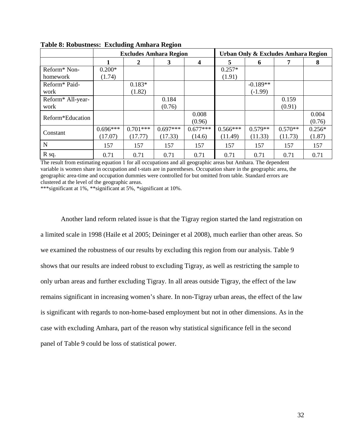|                   | <b>Excludes Amhara Region</b> |            |            |            | Urban Only & Excludes Amhara Region |            |           |          |
|-------------------|-------------------------------|------------|------------|------------|-------------------------------------|------------|-----------|----------|
|                   |                               |            | 3          | 4          | 5                                   | 6          |           | 8        |
| Reform* Non-      | $0.200*$                      |            |            |            | $0.257*$                            |            |           |          |
| homework          | (1.74)                        |            |            |            | (1.91)                              |            |           |          |
| Reform* Paid-     |                               | $0.183*$   |            |            |                                     | $-0.189**$ |           |          |
| work              |                               | (1.82)     |            |            |                                     | $(-1.99)$  |           |          |
| Reform* All-year- |                               |            | 0.184      |            |                                     |            | 0.159     |          |
| work              |                               |            | (0.76)     |            |                                     |            | (0.91)    |          |
| Reform*Education  |                               |            |            | 0.008      |                                     |            |           | 0.004    |
|                   |                               |            |            | (0.96)     |                                     |            |           | (0.76)   |
| Constant          | $0.696***$                    | $0.701***$ | $0.697***$ | $0.677***$ | $0.566***$                          | $0.579**$  | $0.570**$ | $0.256*$ |
|                   | (17.07)                       | (17.77)    | (17.33)    | (14.6)     | (11.49)                             | (11.33)    | (11.73)   | (1.87)   |
| N                 | 157                           | 157        | 157        | 157        | 157                                 | 157        | 157       | 157      |
| R sq.             | 0.71                          | 0.71       | 0.71       | 0.71       | 0.71                                | 0.71       | 0.71      | 0.71     |

**Table 8: Robustness: Excluding Amhara Region**

The result from estimating equation 1 for all occupations and all geographic areas but Amhara. The dependent variable is women share in occupation and t-stats are in parentheses. Occupation share in the geographic area, the geographic area-time and occupation dummies were controlled for but omitted from table. Standard errors are clustered at the level of the geographic areas.

\*\*\*significant at 1%, \*\*significant at 5%, \*significant at 10%.

Another land reform related issue is that the Tigray region started the land registration on a limited scale in 1998 (Haile et al 2005; Deininger et al 2008), much earlier than other areas. So we examined the robustness of our results by excluding this region from our analysis. Table 9 shows that our results are indeed robust to excluding Tigray, as well as restricting the sample to only urban areas and further excluding Tigray. In all areas outside Tigray, the effect of the law remains significant in increasing women's share. In non-Tigray urban areas, the effect of the law is significant with regards to non-home-based employment but not in other dimensions. As in the case with excluding Amhara, part of the reason why statistical significance fell in the second panel of Table 9 could be loss of statistical power.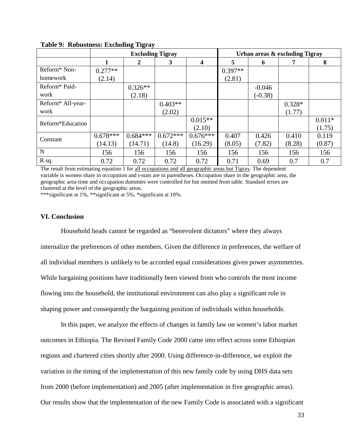|                   | <b>Excluding Tigray</b> |            |            |                         | Urban areas & excluding Tigray |           |          |          |
|-------------------|-------------------------|------------|------------|-------------------------|--------------------------------|-----------|----------|----------|
|                   |                         | 2          | 3          | $\overline{\mathbf{4}}$ | 5                              | 6         | 7        | 8        |
| Reform* Non-      | $0.277**$               |            |            |                         | $0.397**$                      |           |          |          |
| homework          | (2.14)                  |            |            |                         | (2.81)                         |           |          |          |
| Reform* Paid-     |                         | $0.326**$  |            |                         |                                | $-0.046$  |          |          |
| work              |                         | (2.18)     |            |                         |                                | $(-0.38)$ |          |          |
| Reform* All-year- |                         |            | $0.403**$  |                         |                                |           | $0.328*$ |          |
| work              |                         |            | (2.02)     |                         |                                |           | (1.77)   |          |
| Reform*Education  |                         |            |            | $0.015**$               |                                |           |          | $0.011*$ |
|                   |                         |            |            | (2.10)                  |                                |           |          | (1.75)   |
| Constant          | $0.678***$              | $0.684***$ | $0.672***$ | $0.676***$              | 0.407                          | 0.426     | 0.410    | 0.119    |
|                   | (14.13)                 | (14.71)    | (14.8)     | (16.29)                 | (8.05)                         | (7.82)    | (8.28)   | (0.87)   |
| N                 | 156                     | 156        | 156        | 156                     | 156                            | 156       | 156      | 156      |
| R sq.             | 0.72                    | 0.72       | 0.72       | 0.72                    | 0.71                           | 0.69      | 0.7      | 0.7      |

**Table 9: Robustness: Excluding Tigray** 

The result from estimating equation 1 for all occupations and all geographic areas but Tigray. The dependent variable is women share in occupation and t-stats are in parentheses. Occupation share in the geographic area, the geographic area-time and occupation dummies were controlled for but omitted from table. Standard errors are clustered at the level of the geographic areas.

\*\*\*significant at 1%, \*\*significant at 5%, \*significant at 10%.

#### **VI. Conclusion**

 Household heads cannot be regarded as "benevolent dictators" where they always internalize the preferences of other members. Given the difference in preferences, the welfare of all individual members is unlikely to be accorded equal considerations given power asymmetries. While bargaining positions have traditionally been viewed from who controls the most income flowing into the household, the institutional environment can also play a significant role in shaping power and consequently the bargaining position of individuals within households.

In this paper, we analyze the effects of changes in family law on women's labor market outcomes in Ethiopia. The Revised Family Code 2000 came into effect across some Ethiopian regions and chartered cities shortly after 2000. Using difference-in-difference, we exploit the variation in the timing of the implementation of this new family code by using DHS data sets from 2000 (before implementation) and 2005 (after implementation in five geographic areas). Our results show that the implementation of the new Family Code is associated with a significant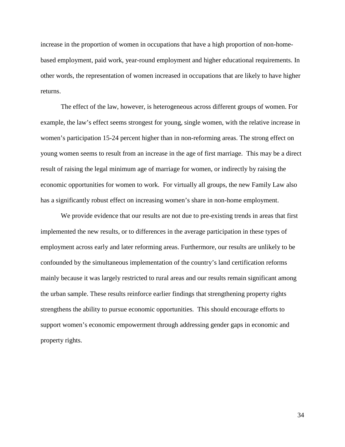increase in the proportion of women in occupations that have a high proportion of non-homebased employment, paid work, year-round employment and higher educational requirements. In other words, the representation of women increased in occupations that are likely to have higher returns.

The effect of the law, however, is heterogeneous across different groups of women. For example, the law's effect seems strongest for young, single women, with the relative increase in women's participation 15-24 percent higher than in non-reforming areas. The strong effect on young women seems to result from an increase in the age of first marriage. This may be a direct result of raising the legal minimum age of marriage for women, or indirectly by raising the economic opportunities for women to work. For virtually all groups, the new Family Law also has a significantly robust effect on increasing women's share in non-home employment.

We provide evidence that our results are not due to pre-existing trends in areas that first implemented the new results, or to differences in the average participation in these types of employment across early and later reforming areas. Furthermore, our results are unlikely to be confounded by the simultaneous implementation of the country's land certification reforms mainly because it was largely restricted to rural areas and our results remain significant among the urban sample. These results reinforce earlier findings that strengthening property rights strengthens the ability to pursue economic opportunities. This should encourage efforts to support women's economic empowerment through addressing gender gaps in economic and property rights.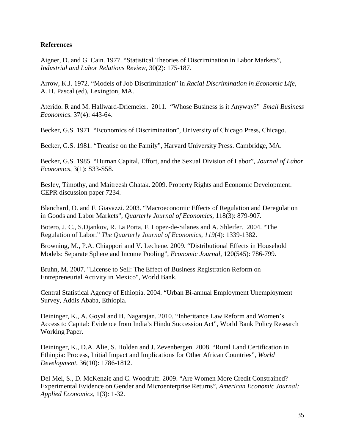# **References**

Aigner, D. and G. Cain. 1977. "Statistical Theories of Discrimination in Labor Markets", *Industrial and Labor Relations Review*, 30(2): 175-187.

Arrow, K.J. 1972. "Models of Job Discrimination" in *Racial Discrimination in Economic Life*, A. H. Pascal (ed), Lexington, MA.

Aterido. R and M. Hallward-Driemeier. 2011. "Whose Business is it Anyway?" *Small Business Economics*. 37(4): 443-64.

Becker, G.S. 1971. "Economics of Discrimination", University of Chicago Press, Chicago.

Becker, G.S. 1981. "Treatise on the Family", Harvard University Press. Cambridge, MA.

Becker, G.S. 1985. "Human Capital, Effort, and the Sexual Division of Labor", *Journal of Labor Economics*, 3(1): S33-S58.

Besley, Timothy, and Maitreesh Ghatak. 2009. Property Rights and Economic Development. CEPR discussion paper 7234.

Blanchard, O. and F. Giavazzi. 2003. "Macroeconomic Effects of Regulation and Deregulation in Goods and Labor Markets", *Quarterly Journal of Economics*, 118(3): 879-907.

Botero, J. C., S.Djankov, R. La Porta, F. Lopez-de-Silanes and A. Shleifer. 2004. "The Regulation of Labor." *The Quarterly Journal of Economics*, *119*(4): 1339-1382.

Browning, M., P.A. Chiappori and V. Lechene. 2009. "Distributional Effects in Household Models: Separate Sphere and Income Pooling", *Economic Journal*, 120(545): 786-799.

Bruhn, M. 2007. "License to Sell: The Effect of Business Registration Reform on Entrepreneurial Activity in Mexico", World Bank.

Central Statistical Agency of Ethiopia. 2004. "Urban Bi-annual Employment Unemployment Survey, Addis Ababa, Ethiopia.

Deininger, K., A. Goyal and H. Nagarajan. 2010. "Inheritance Law Reform and Women's Access to Capital: Evidence from India's Hindu Succession Act", World Bank Policy Research Working Paper.

Deininger, K., D.A. Alie, S. Holden and J. Zevenbergen. 2008. "Rural Land Certification in Ethiopia: Process, Initial Impact and Implications for Other African Countries", *World Development*, 36(10): 1786-1812.

Del Mel, S., D. McKenzie and C. Woodruff. 2009. "Are Women More Credit Constrained? Experimental Evidence on Gender and Microenterprise Returns", *American Economic Journal: Applied Economics*, 1(3): 1-32.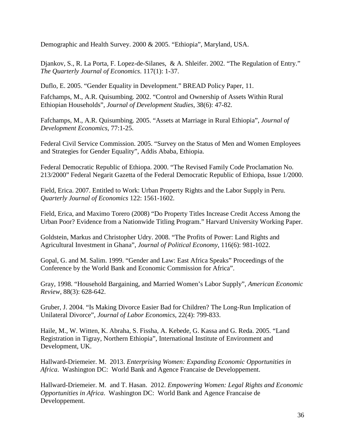Demographic and Health Survey. 2000 & 2005. "Ethiopia", Maryland, USA.

Djankov, S., R. La Porta, F. Lopez-de-Silanes, & A. Shleifer. 2002. "The Regulation of Entry." *The Quarterly Journal of Economics*. 117(1): 1-37.

Duflo, E. 2005. "Gender Equality in Development." BREAD Policy Paper, 11.

Fafchamps, M., A.R. Quisumbing. 2002. "Control and Ownership of Assets Within Rural Ethiopian Households", *Journal of Development Studies*, 38(6): 47-82.

Fafchamps, M., A.R. Quisumbing. 2005. "Assets at Marriage in Rural Ethiopia", *Journal of Development Economics*, 77:1-25.

Federal Civil Service Commission. 2005. "Survey on the Status of Men and Women Employees and Strategies for Gender Equality", Addis Ababa, Ethiopia.

Federal Democratic Republic of Ethiopa. 2000. "The Revised Family Code Proclamation No. 213/2000" Federal Negarit Gazetta of the Federal Democratic Republic of Ethiopa, Issue 1/2000.

Field, Erica. 2007. Entitled to Work: Urban Property Rights and the Labor Supply in Peru. *Quarterly Journal of Economics* 122: 1561-1602.

Field, Erica, and Maximo Torero (2008) "Do Property Titles Increase Credit Access Among the Urban Poor? Evidence from a Nationwide Titling Program." Harvard University Working Paper.

Goldstein, Markus and Christopher Udry. 2008. "The Profits of Power: Land Rights and Agricultural Investment in Ghana", *Journal of Political Economy*, 116(6): 981-1022.

Gopal, G. and M. Salim. 1999. "Gender and Law: East Africa Speaks" Proceedings of the Conference by the World Bank and Economic Commission for Africa".

Gray, 1998. "Household Bargaining, and Married Women's Labor Supply", *American Economic Review*, 88(3): 628-642.

Gruber, J. 2004. "Is Making Divorce Easier Bad for Children? The Long-Run Implication of Unilateral Divorce", *Journal of Labor Economics*, 22(4): 799-833.

Haile, M., W. Witten, K. Abraha, S. Fissha, A. Kebede, G. Kassa and G. Reda. 2005. "Land Registration in Tigray, Northern Ethiopia", International Institute of Environment and Development, UK.

Hallward-Driemeier. M. 2013. *Enterprising Women: Expanding Economic Opportunities in Africa*. Washington DC: World Bank and Agence Francaise de Developpement.

Hallward-Driemeier. M. and T. Hasan. 2012. *Empowering Women: Legal Rights and Economic Opportunities in Africa*. Washington DC: World Bank and Agence Francaise de Developpement.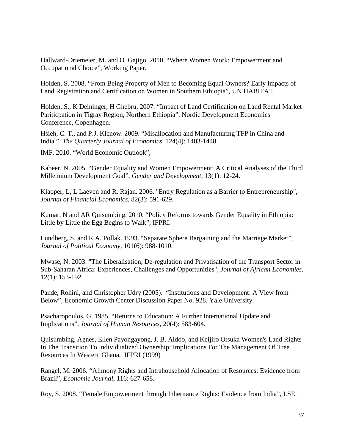Hallward-Driemeier, M. and O. Gajigo. 2010. "Where Women Work: Empowerment and Occupational Choice", Working Paper.

Holden, S. 2008. "From Being Property of Men to Becoming Equal Owners? Early Impacts of Land Registration and Certification on Women in Southern Ethiopia", UN HABITAT.

Holden, S., K Deininger, H Ghebru. 2007. "Impact of Land Certification on Land Rental Market Pariticpation in Tigray Region, Northern Ethiopia", Nordic Development Economics Conference, Copenhagen.

Hsieh, C. T., and P.J. Klenow. 2009. "Misallocation and Manufacturing TFP in China and India." *The Quarterly Journal of Economics*, 124(4): 1403-1448.

IMF. 2010. "World Economic Outlook",

Kabeer, N. 2005. "Gender Equality and Women Empowerment: A Critical Analyses of the Third Millennium Development Goal", *Gender and Development*, 13(1): 12-24.

Klapper, L, L Laeven and R. Rajan. 2006. "Entry Regulation as a Barrier to Entrepreneurship", *Journal of Financial Economics*, 82(3): 591-629.

Kumar, N and AR Quisumbing. 2010. "Policy Reforms towards Gender Equality in Ethiopia: Little by Little the Egg Begins to Walk", IFPRI.

Lundberg, S. and R.A. Pollak. 1993. "Separate Sphere Bargaining and the Marriage Market", *Journal of Political Economy,* 101(6): 988-1010.

Mwase, N. 2003. "The Liberalisation, De-regulation and Privatisation of the Transport Sector in Sub-Saharan Africa: Experiences, Challenges and Opportunities", *Journal of African Economies*, 12(1): 153-192.

Pande, Rohini, and Christopher Udry (2005). "Institutions and Development: A View from Below", Economic Growth Center Discussion Paper No. 928, Yale University.

Psacharopoulos, G. 1985. "Returns to Education: A Further International Update and Implications", *Journal of Human Resources*, 20(4): 583-604.

Quisumbing, Agnes, Ellen Payongayong, J. B. Aidoo, and Keijiro Otsuka Women's Land Rights In The Transition To Individualized Ownership: Implications For The Management Of Tree Resources In Western Ghana, IFPRI (1999)

Rangel, M. 2006. "Alimony Rights and Intrahousehold Allocation of Resources: Evidence from Brazil", *Economic Journal*, 116: 627-658.

Roy, S. 2008. "Female Empowerment through Inheritance Rights: Evidence from India", LSE.